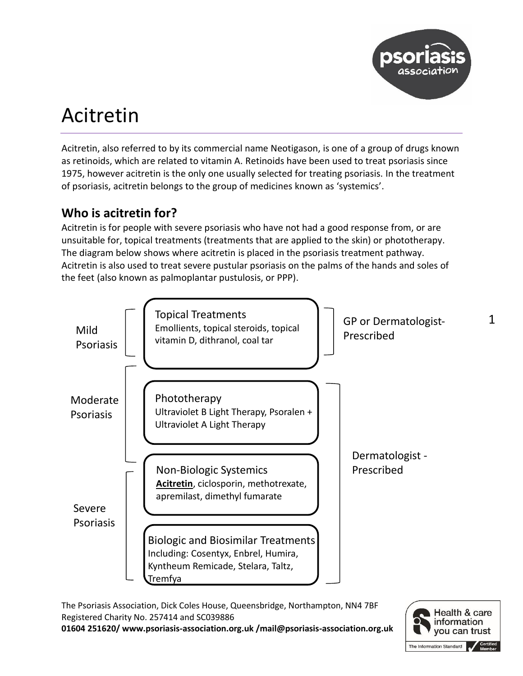

# Acitretin

Acitretin, also referred to by its commercial name Neotigason, is one of a group of drugs known as retinoids, which are related to vitamin A. Retinoids have been used to treat psoriasis since 1975, however acitretin is the only one usually selected for treating psoriasis. In the treatment of psoriasis, acitretin belongs to the group of medicines known as 'systemics'.

# **Who is acitretin for?**

Acitretin is for people with severe psoriasis who have not had a good response from, or are unsuitable for, topical treatments (treatments that are applied to the skin) or phototherapy. The diagram below shows where acitretin is placed in the psoriasis treatment pathway. Acitretin is also used to treat severe pustular psoriasis on the palms of the hands and soles of the feet (also known as palmoplantar pustulosis, or PPP).



The Psoriasis Association, Dick Coles House, Queensbridge, Northampton, NN4 7BF Registered Charity No. 257414 and SC039886

**01604 251620/ www.psoriasis-association.org.uk /mail@psoriasis-association.org.uk**

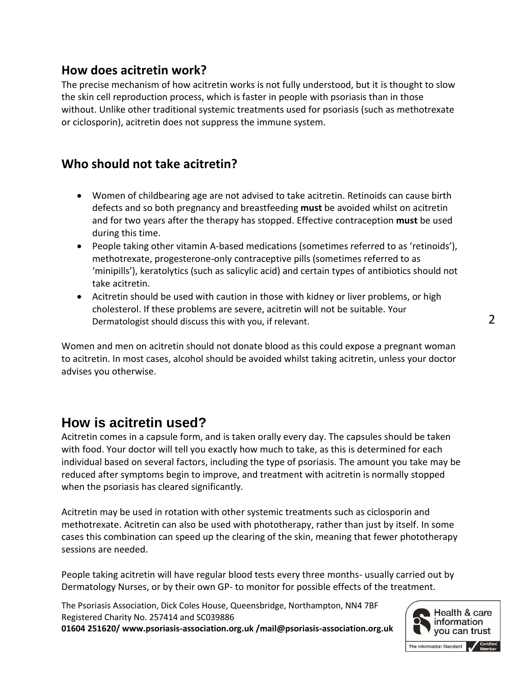## **How does acitretin work?**

The precise mechanism of how acitretin works is not fully understood, but it is thought to slow the skin cell reproduction process, which is faster in people with psoriasis than in those without. Unlike other traditional systemic treatments used for psoriasis (such as methotrexate or ciclosporin), acitretin does not suppress the immune system.

# **Who should not take acitretin?**

- Women of childbearing age are not advised to take acitretin. Retinoids can cause birth defects and so both pregnancy and breastfeeding **must** be avoided whilst on acitretin and for two years after the therapy has stopped. Effective contraception **must** be used during this time.
- People taking other vitamin A-based medications (sometimes referred to as 'retinoids'), methotrexate, progesterone-only contraceptive pills (sometimes referred to as 'minipills'), keratolytics (such as salicylic acid) and certain types of antibiotics should not take acitretin.
- Acitretin should be used with caution in those with kidney or liver problems, or high cholesterol. If these problems are severe, acitretin will not be suitable. Your Dermatologist should discuss this with you, if relevant.

Women and men on acitretin should not donate blood as this could expose a pregnant woman to acitretin. In most cases, alcohol should be avoided whilst taking acitretin, unless your doctor advises you otherwise.

# **How is acitretin used?**

Acitretin comes in a capsule form, and is taken orally every day. The capsules should be taken with food. Your doctor will tell you exactly how much to take, as this is determined for each individual based on several factors, including the type of psoriasis. The amount you take may be reduced after symptoms begin to improve, and treatment with acitretin is normally stopped when the psoriasis has cleared significantly.

Acitretin may be used in rotation with other systemic treatments such as ciclosporin and methotrexate. Acitretin can also be used with phototherapy, rather than just by itself. In some cases this combination can speed up the clearing of the skin, meaning that fewer phototherapy sessions are needed.

People taking acitretin will have regular blood tests every three months- usually carried out by Dermatology Nurses, or by their own GP- to monitor for possible effects of the treatment.

The Psoriasis Association, Dick Coles House, Queensbridge, Northampton, NN4 7BF Registered Charity No. 257414 and SC039886

**01604 251620/ www.psoriasis-association.org.uk /mail@psoriasis-association.org.uk**